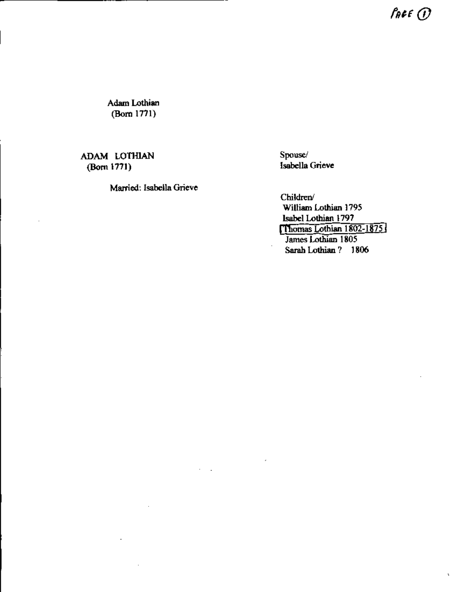$f_{\theta}$ <sub>e</sub>c<sub> $\theta$ </sub>

,

Adam Lothian (Born 1771)

## ADAM LOTHIAN Spouse/<br>
(Born 1771) Isabella

,

Married: Isabella Grieve

Isabella Grieve

Children/ William Lothian 1795 Isabel Lothian 1797 [Thomas Lothian 1802-1875] James Lothian 1805 Sarah Lothian? 1806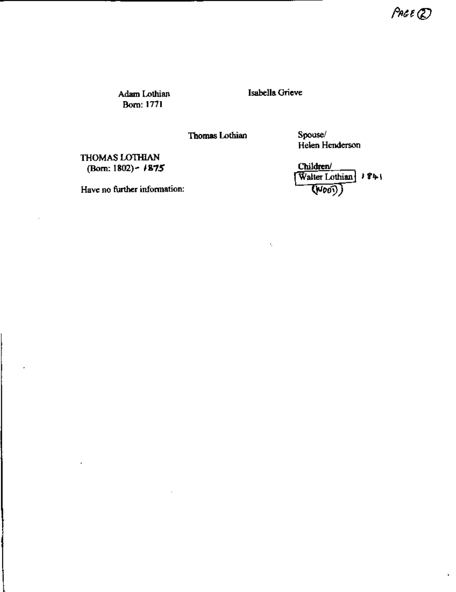$P$ AGE  $Q$ 

 $\mathbf{r}$ 

Adam Lothian Bom: 1771

Isabella Grieve

 $\eta$ 

**Thomas Lothian** 

Spouse/ Helen Henderson

THOMAS LOTHIAN (Born: 1802) -  $\sqrt{1875}$ 

Have no further information:

Children/ Walter Lothian  $\frac{1}{2}$  1841  $(\overline{V}$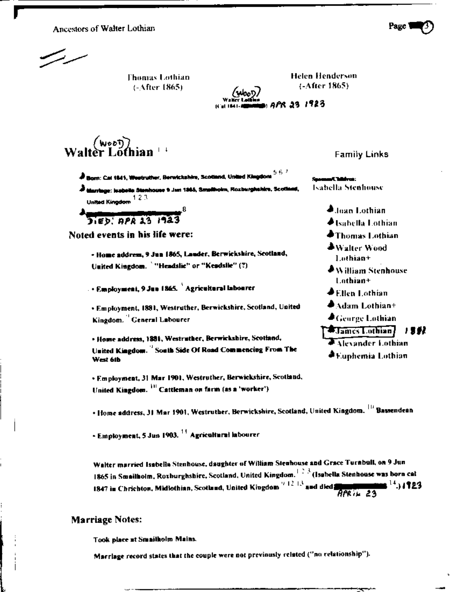Ancestors of Walter Lothian

**Thomas Lothian**  $(-After 1865)$ 

**Helen Henderson**  $(-After 1865)$ 

whoo D. 1923 ו 34 אי

Walter Lon

 $\stackrel{\bullet}{\bullet}$  Born: Cal 1841, Westruther, Berwickshire, Scotland, United Kingdom  $^{5.6.7}$ 

**J** Marriage: Installa Stanhouse 9 Jan 1865, Smallhoim, Roxburghabira, Scotla United Kingdom<sup>123</sup>

**Jied: APA 13 1943** 

Noted events in his life were:

- Home address, 9 Jun 1865, Lander, Berwickshire, Scotland, United Kingdom. "Headslie" or "Keadslie" (?)

. • Employment, 9 Jun 1865. `Agricultural labourer

· Employment, 1881, Westruther, Berwickshire, Scotland, United Kingdom. General Labourer

. Home address, 1881, Westruther, Berwickshire, Scotland, United Kingdom. <sup>"</sup> South Side Of Road Commencing From The West 6th

· Employment, 31 Mar 1901, Westruther, Berwickshire, Scotland, United Kingdom. <sup>111</sup> Cattleman on farm (as a 'worker').

• Home address, 31 Mar 1901, Westruther, Berwickshire, Scotland, United Kingdom. <sup>[1]</sup> Bassendean

- Employment, 5 Jun 1903. <sup>11</sup> Agricaltural Inbourer

Walter married Isabella Stenhouse, daughter of William Stenhouse and Grace Turnbull, on 9 Jun 1865 in Smailholm, Roxburghshire, Scotland, United Kingdom.<sup>123</sup> (Isabella Stenhouse was born cat 1847 in Chrichton, Midlothian, Scotland, United Kingdom<sup>17-12-13</sup> and died **Supplym**  $\frac{14}{14}$ 1923  $\overline{BPR}$ <sub>*ik*</sub> 23</sub>

## **Marriage Notes:**

Took place at Smaitholm Mains.

Marriage record states that the couple were not previously related ("no relationship").



Isabella Stenhouse

**Joan Lothian ◆Isabella Lothian**  $\blacklozenge$ Thomas Lothian  $\clubsuit$  Walter Wood Lothian+  $\clubsuit$  William Stenhouse Lathian+  $\clubsuit$ Ellen Lothian  $\clubsuit$ Adam Lothian+  $\blacktriangle$  George Lothian **Example Lothian** 1982. Alexander Lothian

**A Euphemia Lothian** 

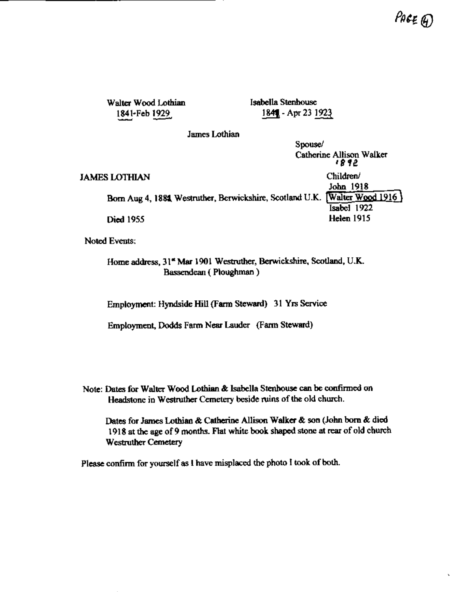,

Walter Wood Lothian Isabella Stenhouse

1841-Feb 1929. 4.2.2.1841. - Apr 23 1923

James Lothian

Spouse/ Catherine Allison Walker ,g,e JAMES LOTHIAN Children/ John 1918 Born Aug 4, 1884. Westruther, Berwickshire, Scotland U.K. [Walter Wood 1916] Isabel 1922 Died 1955 Helen 1915

Noted Events:

Home address, 31\* Mar 1901 Westruther, Berwickshire, Scotland, U.K. Bassendean ( Ploughman )

Employment: Hyndside Hill (Farm Steward) 31 Yrs Service

Employment, Dodds Farm Near Lauder (Farm Steward)

Note: Dates for Walter Wood Lothian & Isabella Stenhouse can be confirmed on Headstone in Westruther Cemetery beside ruins of the old church.

Dates for James Lothian & Catherine Allison Walker & son (John born & died 1918 at the age of 9 months. Flat white book shaped stone at rear of old church Westruther Cemetery

Please confirm for yourself as I have misplaced the photo I took of both.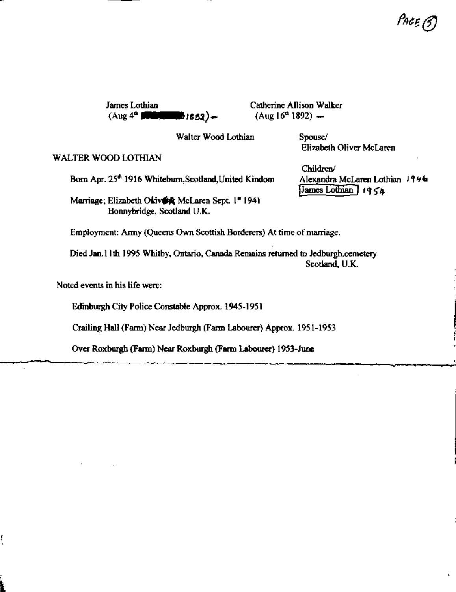$\vdots$ 

J

James Lothian Catherine Allison Walker  $(Aug 4<sup>th</sup>$   $\bullet$   $\bullet$   $H_0$ <sub>16.52</sub>) - (Aug 16<sup>th</sup> 1892) -

Walter Wood Lothian Spouse/

1- - --c- ~ - -- ~"-..~~-" I'nt:£ ([)

Elizabeth Oliver Mclaren

## WALTER WOOD LOTHIAN

Born Apr. 25<sup>th</sup> 1916 Whiteburn, Scotland, United Kindom Alexandra McLaren Lothian 1946

Marriage; Elizabeth Okiv $\oint$  McLaren Sept. 1\* 1941 [James Lothian] 1954 Bonnybridge, Scotland U.K.

Children/

Employment: Army (Queens Own Scottish Borderers) At time of marriage.

Died Jan.l1 th 1995 Whitby, Ontario, Canada Remains returned to Jedburgh.cemetery Scotland, U.K.

-'-'=- -' C--'--'--~ --- ~ c - -~~~~~.~ - r-~~-\_~ !

 $\mathbf{v}$ 

. The contract of the contract of the contract of the contract of the contract of the contract of the contract of the contract of the contract of the contract of the contract of the contract of the contract of the contrac

Noted events in his life were:

~ ,

 $\overline{\phantom{a}}$ :1.. Edinburgh City Police Constable Approx. 1945-1951

Crailing Hall (Fann) Near Jedburgh (Fann Labourer) Approx. 1951-1953

Over Roxburgh (Fann) Near Roxburgh (Fann Labourer) 1953-June :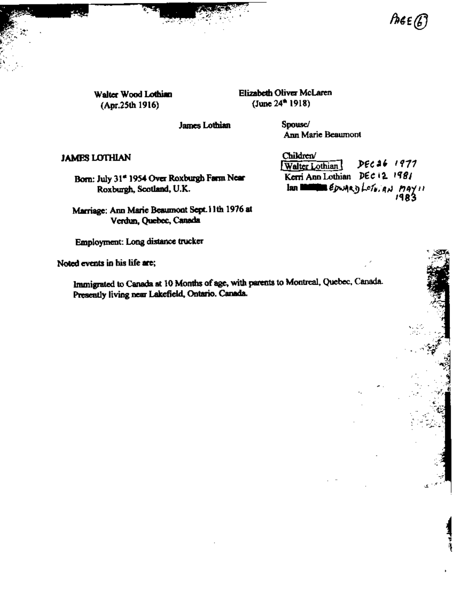$\mathcal{L} = \mathcal{L} \mathcal{L}$  $\mathcal{L} = \mathcal{L} \left( \frac{1}{2} \right)$ 

Ť

 $(\text{Apr.25th 1916})$  (June 24<sup>th</sup> 1918)

walter Wood Lothian **Elizabeth Oliver McLaren** 

James Lothian Spouse/

Ann Marie Beaumont

Born: July 31\* 1954 Over Roxburgh Farm Near Kerri Ann Lothian  $\left\| \text{DEC} \right\|$  1981<br>Roxburgh, Scotland, U.K. Ian **III | E**pwq Roxburgh, Scotland, U.K.

Marriage: Ann Marie Beaumont Sept. 11th 1976 at Verdun, Quebec, Canada

Employment: Long distance trucker \

Noted events in his life are;

Immigrated to Canada at 10 Months of age, with parents to Montreal, Quebec, Canada. Presently living near Lakefield, Ontario. Canada.

 $\Delta$ AMESLOTHIAN  $\Box$ Children/<br>[Walter Lothian] DEC 26 1977 **JAMES LOTHIAN** Children' Children' PEC **36** *1971*<br>Born: July 31\* 1954 Over Roxburgh Farm Near Kerri Ann Lothian *DEC* 12. 1981 1983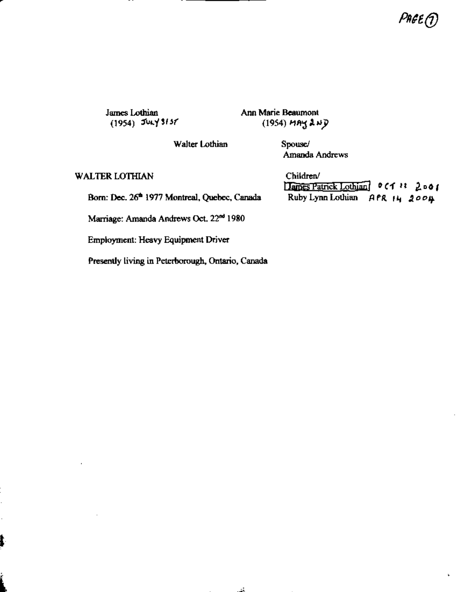Page<sub>(J)</sub>

James Lothian Ann Marie Beaumont<br>(1954) July 3137 (1954) HAY 2  $(1954)$  MAY 2ND

Walter Lothian Spouse/

Amanda Andrews

WALTER LOTHIAN Children/

r--- - ~

 $\mathbf{r}$ 

Hames Patrick Lothian 0 C1 11 2001 Born: Dec. 26<sup>th</sup> 1977 Montreal, Quebec, Canada Ruby Lynn Lothian A PR 14 2004

Marriage: Amanda Andrews Oct. 22<sup>nd</sup> 1980

Employment: Heavy Equipment Driver

 $\mathbf{f}$  ,  $\mathbf{f}$  ,  $\mathbf{f}$  ,  $\mathbf{f}$  ,  $\mathbf{f}$  ,  $\mathbf{f}$  ,  $\mathbf{f}$  ,  $\mathbf{f}$  ,  $\mathbf{f}$  ,  $\mathbf{f}$  ,  $\mathbf{f}$  ,  $\mathbf{f}$  ,  $\mathbf{f}$  ,  $\mathbf{f}$  ,  $\mathbf{f}$  ,  $\mathbf{f}$  ,  $\mathbf{f}$  ,  $\mathbf{f}$  ,  $\mathbf{f}$  ,  $\mathbf{f}$  ,

Presently living in Peterborough, Ontario, Canada

 $\frac{1}{2}$